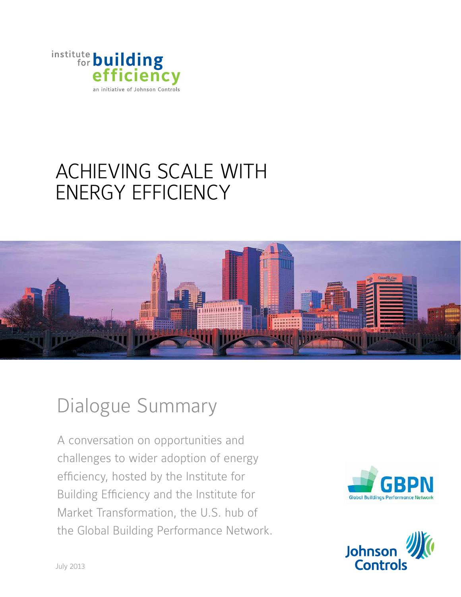

# Achieving Scale With ENERGY EFFICIENCY



# Dialogue Summary

A conversation on opportunities and challenges to wider adoption of energy efficiency, hosted by the Institute for Building Efficiency and the Institute for Market Transformation, the U.S. hub of the Global Building Performance Network.



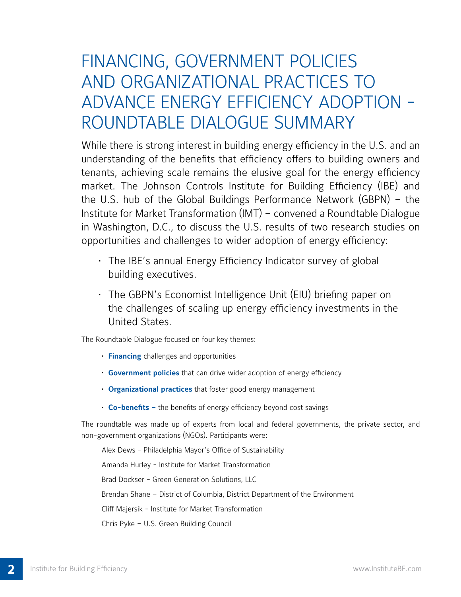# Financing, government policies and organizational practices to advance energy efficiency adoption roundtable dialogue summary

While there is strong interest in building energy efficiency in the U.S. and an understanding of the benefits that efficiency offers to building owners and tenants, achieving scale remains the elusive goal for the energy efficiency market. The Johnson Controls Institute for Building Efficiency (IBE) and the U.S. hub of the Global Buildings Performance Network (GBPN) – the Institute for Market Transformation (IMT) – convened a Roundtable Dialogue in Washington, D.C., to discuss the U.S. results of two research studies on opportunities and challenges to wider adoption of energy efficiency:

- The IBE's annual Energy Efficiency Indicator survey of global building executives.
- The GBPN's Economist Intelligence Unit (EIU) briefing paper on the challenges of scaling up energy efficiency investments in the United States.

The Roundtable Dialogue focused on four key themes:

- **Financing** challenges and opportunities
- **Government policies** that can drive wider adoption of energy efficiency
- **Organizational practices** that foster good energy management
- **Co-benefits –** the benefits of energy efficiency beyond cost savings

The roundtable was made up of experts from local and federal governments, the private sector, and non-government organizations (NGOs). Participants were:

Alex Dews - Philadelphia Mayor's Office of Sustainability Amanda Hurley - Institute for Market Transformation Brad Dockser - Green Generation Solutions, LLC Brendan Shane – District of Columbia, District Department of the Environment Cliff Majersik - Institute for Market Transformation Chris Pyke – U.S. Green Building Council

**2**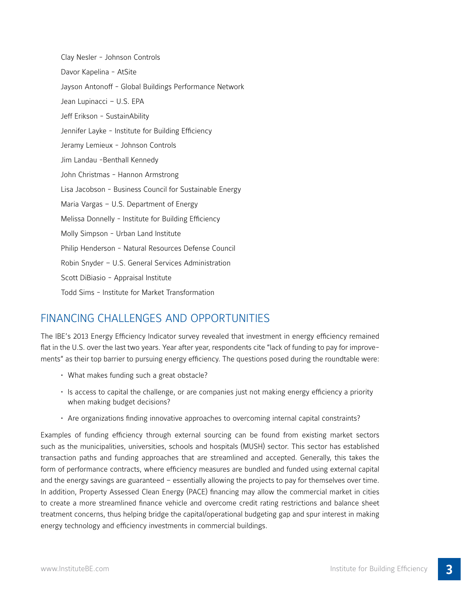Clay Nesler - Johnson Controls Davor Kapelina - AtSite Jayson Antonoff - Global Buildings Performance Network Jean Lupinacci – U.S. EPA Jeff Erikson - SustainAbility Jennifer Layke - Institute for Building Efficiency Jeramy Lemieux - Johnson Controls Jim Landau -Benthall Kennedy John Christmas - Hannon Armstrong Lisa Jacobson - Business Council for Sustainable Energy Maria Vargas – U.S. Department of Energy Melissa Donnelly - Institute for Building Efficiency Molly Simpson - Urban Land Institute Philip Henderson - Natural Resources Defense Council Robin Snyder – U.S. General Services Administration Scott DiBiasio - Appraisal Institute Todd Sims - Institute for Market Transformation

# Financing Challenges and Opportunities

The IBE's 2013 Energy Efficiency Indicator survey revealed that investment in energy efficiency remained flat in the U.S. over the last two years. Year after year, respondents cite "lack of funding to pay for improvements" as their top barrier to pursuing energy efficiency. The questions posed during the roundtable were:

- What makes funding such a great obstacle?
- Is access to capital the challenge, or are companies just not making energy efficiency a priority when making budget decisions?
- Are organizations finding innovative approaches to overcoming internal capital constraints?

Examples of funding efficiency through external sourcing can be found from existing market sectors such as the municipalities, universities, schools and hospitals (MUSH) sector. This sector has established transaction paths and funding approaches that are streamlined and accepted. Generally, this takes the form of performance contracts, where efficiency measures are bundled and funded using external capital and the energy savings are guaranteed – essentially allowing the projects to pay for themselves over time. In addition, Property Assessed Clean Energy (PACE) financing may allow the commercial market in cities to create a more streamlined finance vehicle and overcome credit rating restrictions and balance sheet treatment concerns, thus helping bridge the capital/operational budgeting gap and spur interest in making energy technology and efficiency investments in commercial buildings.

**3**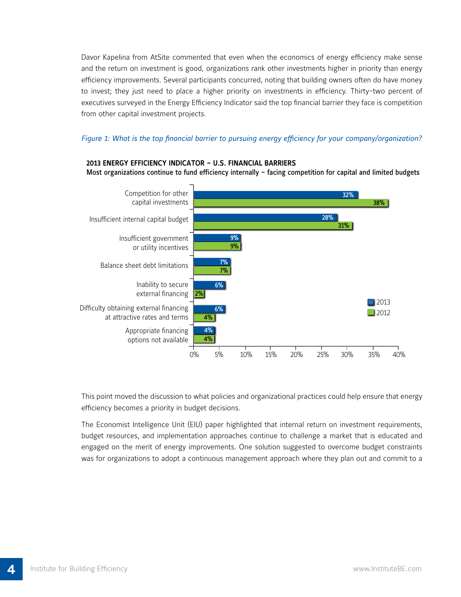Davor Kapelina from AtSite commented that even when the economics of energy efficiency make sense and the return on investment is good, organizations rank other investments higher in priority than energy efficiency improvements. Several participants concurred, noting that building owners often do have money to invest; they just need to place a higher priority on investments in efficiency. Thirty-two percent of executives surveyed in the Energy Efficiency Indicator said the top financial barrier they face is competition from other capital investment projects.

## *Figure 1: What is the top financial barrier to pursuing energy efficiency for your company/organization?*

### **2013 ENERGY EFFICIENCY INDICATOR – U.S. FINANCIAL BARRIERS** Most organizations continue to fund efficiency internally – facing competition for capital and limited budgets



This point moved the discussion to what policies and organizational practices could help ensure that energy efficiency becomes a priority in budget decisions.

The Economist Intelligence Unit (EIU) paper highlighted that internal return on investment requirements, budget resources, and implementation approaches continue to challenge a market that is educated and engaged on the merit of energy improvements. One solution suggested to overcome budget constraints was for organizations to adopt a continuous management approach where they plan out and commit to a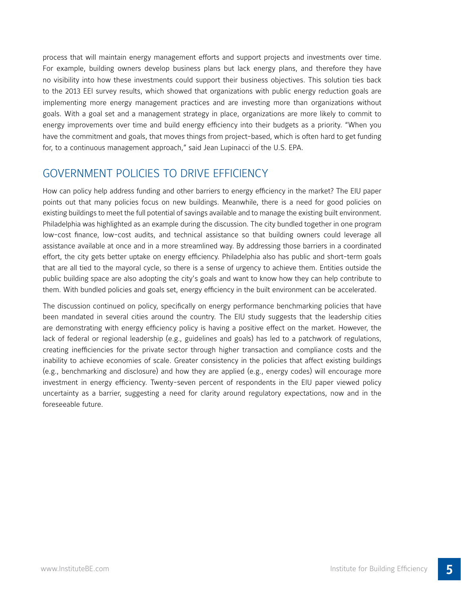process that will maintain energy management efforts and support projects and investments over time. For example, building owners develop business plans but lack energy plans, and therefore they have no visibility into how these investments could support their business objectives. This solution ties back to the 2013 EEI survey results, which showed that organizations with public energy reduction goals are implementing more energy management practices and are investing more than organizations without goals. With a goal set and a management strategy in place, organizations are more likely to commit to energy improvements over time and build energy efficiency into their budgets as a priority. "When you have the commitment and goals, that moves things from project-based, which is often hard to get funding for, to a continuous management approach," said Jean Lupinacci of the U.S. EPA.

# Government Policies to Drive Efficiency

How can policy help address funding and other barriers to energy efficiency in the market? The EIU paper points out that many policies focus on new buildings. Meanwhile, there is a need for good policies on existing buildings to meet the full potential of savings available and to manage the existing built environment. Philadelphia was highlighted as an example during the discussion. The city bundled together in one program low-cost finance, low-cost audits, and technical assistance so that building owners could leverage all assistance available at once and in a more streamlined way. By addressing those barriers in a coordinated effort, the city gets better uptake on energy efficiency. Philadelphia also has public and short-term goals that are all tied to the mayoral cycle, so there is a sense of urgency to achieve them. Entities outside the public building space are also adopting the city's goals and want to know how they can help contribute to them. With bundled policies and goals set, energy efficiency in the built environment can be accelerated.

The discussion continued on policy, specifically on energy performance benchmarking policies that have been mandated in several cities around the country. The EIU study suggests that the leadership cities are demonstrating with energy efficiency policy is having a positive effect on the market. However, the lack of federal or regional leadership (e.g., guidelines and goals) has led to a patchwork of regulations, creating inefficiencies for the private sector through higher transaction and compliance costs and the inability to achieve economies of scale. Greater consistency in the policies that affect existing buildings (e.g., benchmarking and disclosure) and how they are applied (e.g., energy codes) will encourage more investment in energy efficiency. Twenty-seven percent of respondents in the EIU paper viewed policy uncertainty as a barrier, suggesting a need for clarity around regulatory expectations, now and in the foreseeable future.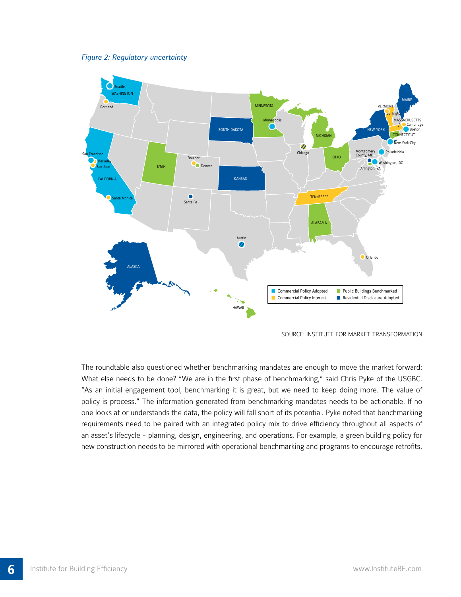



Source: Institute for Market Transformation

The roundtable also questioned whether benchmarking mandates are enough to move the market forward: What else needs to be done? "We are in the first phase of benchmarking," said Chris Pyke of the USGBC. "As an initial engagement tool, benchmarking it is great, but we need to keep doing more. The value of policy is process." The information generated from benchmarking mandates needs to be actionable. If no one looks at or understands the data, the policy will fall short of its potential. Pyke noted that benchmarking requirements need to be paired with an integrated policy mix to drive efficiency throughout all aspects of an asset's lifecycle - planning, design, engineering, and operations. For example, a green building policy for new construction needs to be mirrored with operational benchmarking and programs to encourage retrofits.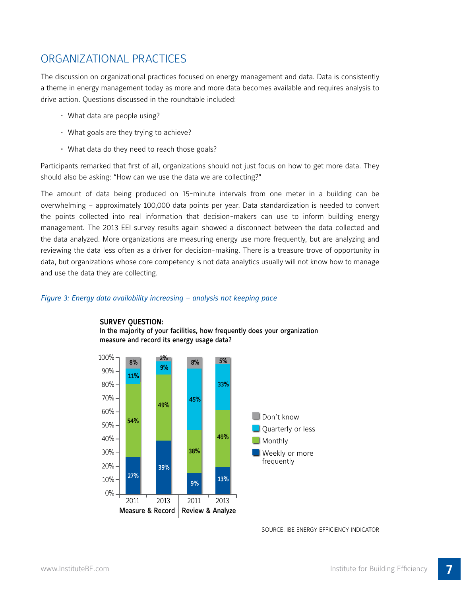# Organizational Practices

The discussion on organizational practices focused on energy management and data. Data is consistently a theme in energy management today as more and more data becomes available and requires analysis to drive action. Questions discussed in the roundtable included:

- What data are people using?
- What goals are they trying to achieve?
- What data do they need to reach those goals?

Participants remarked that first of all, organizations should not just focus on how to get more data. They should also be asking: "How can we use the data we are collecting?"

The amount of data being produced on 15-minute intervals from one meter in a building can be overwhelming – approximately 100,000 data points per year. Data standardization is needed to convert the points collected into real information that decision-makers can use to inform building energy management. The 2013 EEI survey results again showed a disconnect between the data collected and the data analyzed. More organizations are measuring energy use more frequently, but are analyzing and reviewing the data less often as a driver for decision-making. There is a treasure trove of opportunity in data, but organizations whose core competency is not data analytics usually will not know how to manage and use the data they are collecting.

### *Figure 3: Energy data availability increasing – analysis not keeping pace*



### **SURVEY QUESTION:**

In the majority of your facilities, how frequently does your organization measure and record its energy usage data?

#### Source: IBE Energy Efficiency Indicator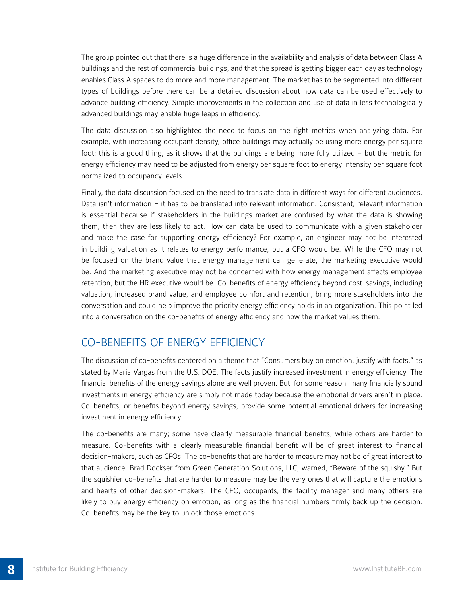The group pointed out that there is a huge difference in the availability and analysis of data between Class A buildings and the rest of commercial buildings, and that the spread is getting bigger each day as technology enables Class A spaces to do more and more management. The market has to be segmented into different types of buildings before there can be a detailed discussion about how data can be used effectively to advance building efficiency. Simple improvements in the collection and use of data in less technologically advanced buildings may enable huge leaps in efficiency.

The data discussion also highlighted the need to focus on the right metrics when analyzing data. For example, with increasing occupant density, office buildings may actually be using more energy per square foot; this is a good thing, as it shows that the buildings are being more fully utilized – but the metric for energy efficiency may need to be adjusted from energy per square foot to energy intensity per square foot normalized to occupancy levels.

Finally, the data discussion focused on the need to translate data in different ways for different audiences. Data isn't information – it has to be translated into relevant information. Consistent, relevant information is essential because if stakeholders in the buildings market are confused by what the data is showing them, then they are less likely to act. How can data be used to communicate with a given stakeholder and make the case for supporting energy efficiency? For example, an engineer may not be interested in building valuation as it relates to energy performance, but a CFO would be. While the CFO may not be focused on the brand value that energy management can generate, the marketing executive would be. And the marketing executive may not be concerned with how energy management affects employee retention, but the HR executive would be. Co-benefits of energy efficiency beyond cost-savings, including valuation, increased brand value, and employee comfort and retention, bring more stakeholders into the conversation and could help improve the priority energy efficiency holds in an organization. This point led into a conversation on the co-benefits of energy efficiency and how the market values them.

# Co-benefits of Energy Efficiency

The discussion of co-benefits centered on a theme that "Consumers buy on emotion, justify with facts," as stated by Maria Vargas from the U.S. DOE. The facts justify increased investment in energy efficiency. The financial benefits of the energy savings alone are well proven. But, for some reason, many financially sound investments in energy efficiency are simply not made today because the emotional drivers aren't in place. Co-benefits, or benefits beyond energy savings, provide some potential emotional drivers for increasing investment in energy efficiency.

The co-benefits are many; some have clearly measurable financial benefits, while others are harder to measure. Co-benefits with a clearly measurable financial benefit will be of great interest to financial decision-makers, such as CFOs. The co-benefits that are harder to measure may not be of great interest to that audience. Brad Dockser from Green Generation Solutions, LLC, warned, "Beware of the squishy." But the squishier co-benefits that are harder to measure may be the very ones that will capture the emotions and hearts of other decision-makers. The CEO, occupants, the facility manager and many others are likely to buy energy efficiency on emotion, as long as the financial numbers firmly back up the decision. Co-benefits may be the key to unlock those emotions.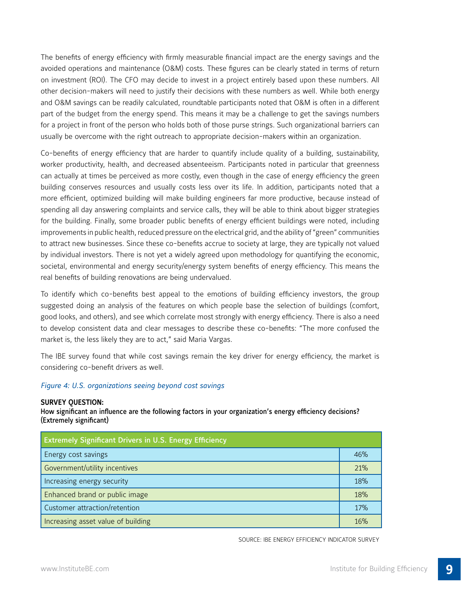The benefits of energy efficiency with firmly measurable financial impact are the energy savings and the avoided operations and maintenance (O&M) costs. These figures can be clearly stated in terms of return on investment (ROI). The CFO may decide to invest in a project entirely based upon these numbers. All other decision-makers will need to justify their decisions with these numbers as well. While both energy and O&M savings can be readily calculated, roundtable participants noted that O&M is often in a different part of the budget from the energy spend. This means it may be a challenge to get the savings numbers for a project in front of the person who holds both of those purse strings. Such organizational barriers can usually be overcome with the right outreach to appropriate decision-makers within an organization.

Co-benefits of energy efficiency that are harder to quantify include quality of a building, sustainability, worker productivity, health, and decreased absenteeism. Participants noted in particular that greenness can actually at times be perceived as more costly, even though in the case of energy efficiency the green building conserves resources and usually costs less over its life. In addition, participants noted that a more efficient, optimized building will make building engineers far more productive, because instead of spending all day answering complaints and service calls, they will be able to think about bigger strategies for the building. Finally, some broader public benefits of energy efficient buildings were noted, including improvements in public health, reduced pressure on the electrical grid, and the ability of "green" communities to attract new businesses. Since these co-benefits accrue to society at large, they are typically not valued by individual investors. There is not yet a widely agreed upon methodology for quantifying the economic, societal, environmental and energy security/energy system benefits of energy efficiency. This means the real benefits of building renovations are being undervalued.

To identify which co-benefits best appeal to the emotions of building efficiency investors, the group suggested doing an analysis of the features on which people base the selection of buildings (comfort, good looks, and others), and see which correlate most strongly with energy efficiency. There is also a need to develop consistent data and clear messages to describe these co-benefits: "The more confused the market is, the less likely they are to act," said Maria Vargas.

The IBE survey found that while cost savings remain the key driver for energy efficiency, the market is considering co-benefit drivers as well.

### *Figure 4: U.S. organizations seeing beyond cost savings*

### **Survey Question:**

How significant an influence are the following factors in your organization's energy efficiency decisions? (Extremely significant)

| <b>Extremely Significant Drivers in U.S. Energy Efficiency</b> |            |
|----------------------------------------------------------------|------------|
| Energy cost savings                                            | 46%        |
| Government/utility incentives                                  | 21%        |
| Increasing energy security                                     | 18%        |
| Enhanced brand or public image                                 | 18%        |
| Customer attraction/retention                                  | <b>17%</b> |
| Increasing asset value of building                             | 16%        |

Source: IBE Energy Efficiency Indicator Survey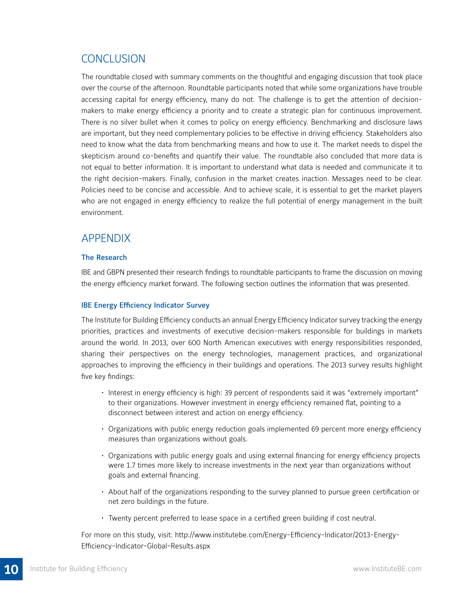# **CONCLUSION**

The roundtable closed with summary comments on the thoughtful and engaging discussion that took place over the course of the afternoon. Roundtable participants noted that while some organizations have trouble accessing capital for energy efficiency, many do not. The challenge is to get the attention of decisionmakers to make energy efficiency a priority and to create a strategic plan for continuous improvement. There is no silver bullet when it comes to policy on energy efficiency. Benchmarking and disclosure laws are important, but they need complementary policies to be effective in driving efficiency. Stakeholders also need to know what the data from benchmarking means and how to use it. The market needs to dispel the skepticism around co-benefits and quantify their value. The roundtable also concluded that more data is not equal to better information. It is important to understand what data is needed and communicate it to the right decision-makers. Finally, confusion in the market creates inaction. Messages need to be clear. Policies need to be concise and accessible. And to achieve scale, it is essential to get the market players who are not engaged in energy efficiency to realize the full potential of energy management in the built environment.

## Appendix

### The Research

IBE and GBPN presented their research findings to roundtable participants to frame the discussion on moving the energy efficiency market forward. The following section outlines the information that was presented.

### IBE Energy Efficiency Indicator Survey

The Institute for Building Efficiency conducts an annual Energy Efficiency Indicator survey tracking the energy priorities, practices and investments of executive decision-makers responsible for buildings in markets around the world. In 2013, over 600 North American executives with energy responsibilities responded, sharing their perspectives on the energy technologies, management practices, and organizational approaches to improving the efficiency in their buildings and operations. The 2013 survey results highlight five key findings:

- Interest in energy efficiency is high: 39 percent of respondents said it was "extremely important" to their organizations. However investment in energy efficiency remained flat, pointing to a disconnect between interest and action on energy efficiency.
- Organizations with public energy reduction goals implemented 69 percent more energy efficiency measures than organizations without goals.
- Organizations with public energy goals and using external financing for energy efficiency projects were 1.7 times more likely to increase investments in the next year than organizations without goals and external financing.
- About half of the organizations responding to the survey planned to pursue green certification or net zero buildings in the future.
- Twenty percent preferred to lease space in a certified green building if cost neutral.

For more on this study, visit: http://www.institutebe.com/Energy-Efficiency-Indicator/2013-Energy-Efficiency-Indicator-Global-Results.aspx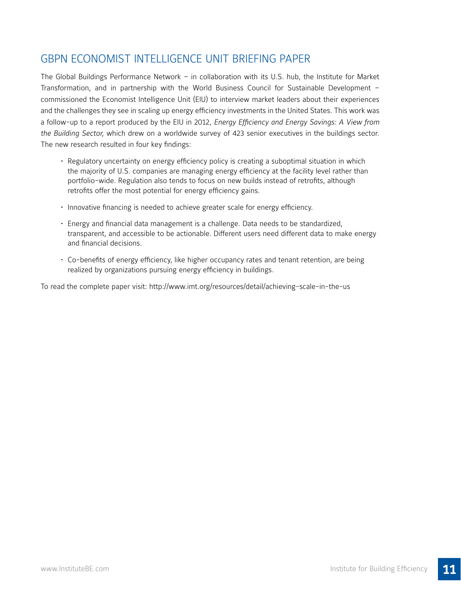# GBPN Economist Intelligence Unit Briefing Paper

The Global Buildings Performance Network – in collaboration with its U.S. hub, the Institute for Market Transformation, and in partnership with the World Business Council for Sustainable Development – commissioned the Economist Intelligence Unit (EIU) to interview market leaders about their experiences and the challenges they see in scaling up energy efficiency investments in the United States. This work was a follow-up to a report produced by the EIU in 2012, *Energy Efficiency and Energy Savings: A View from the Building Sector,* which drew on a worldwide survey of 423 senior executives in the buildings sector. The new research resulted in four key findings:

- Regulatory uncertainty on energy efficiency policy is creating a suboptimal situation in which the majority of U.S. companies are managing energy efficiency at the facility level rather than portfolio-wide. Regulation also tends to focus on new builds instead of retrofits, although retrofits offer the most potential for energy efficiency gains.
- Innovative financing is needed to achieve greater scale for energy efficiency.
- Energy and financial data management is a challenge. Data needs to be standardized, transparent, and accessible to be actionable. Different users need different data to make energy and financial decisions.
- Co-benefits of energy efficiency, like higher occupancy rates and tenant retention, are being realized by organizations pursuing energy efficiency in buildings.

To read the complete paper visit: http://www.imt.org/resources/detail/achieving-scale-in-the-us